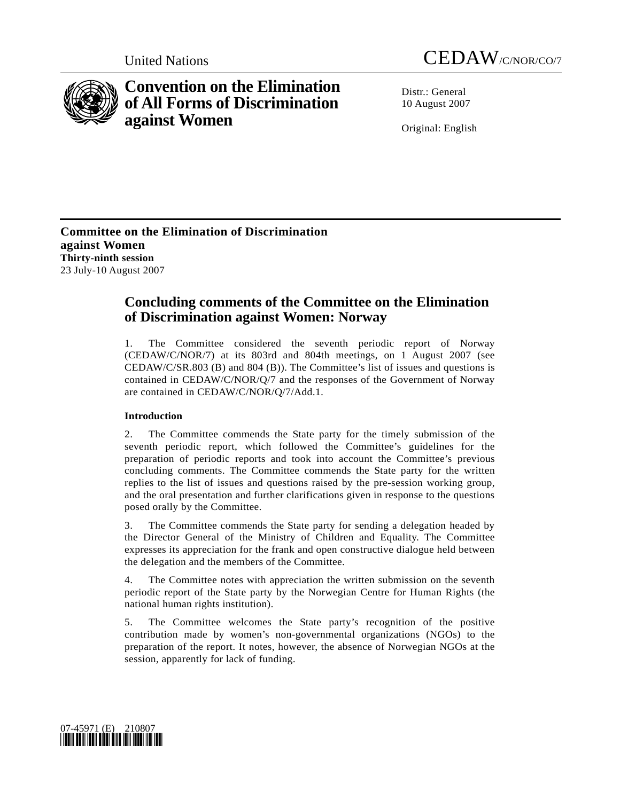



# **Convention on the Elimination of All Forms of Discrimination against Women**

Distr · General 10 August 2007

Original: English

**Committee on the Elimination of Discrimination against Women Thirty-ninth session**  23 July-10 August 2007

# **Concluding comments of the Committee on the Elimination of Discrimination against Women: Norway**

1. The Committee considered the seventh periodic report of Norway (CEDAW/C/NOR/7) at its 803rd and 804th meetings, on 1 August 2007 (see CEDAW/C/SR.803 (B) and 804 (B)). The Committee's list of issues and questions is contained in CEDAW/C/NOR/Q/7 and the responses of the Government of Norway are contained in CEDAW/C/NOR/Q/7/Add.1.

## **Introduction**

2. The Committee commends the State party for the timely submission of the seventh periodic report, which followed the Committee's guidelines for the preparation of periodic reports and took into account the Committee's previous concluding comments. The Committee commends the State party for the written replies to the list of issues and questions raised by the pre-session working group, and the oral presentation and further clarifications given in response to the questions posed orally by the Committee.

3. The Committee commends the State party for sending a delegation headed by the Director General of the Ministry of Children and Equality. The Committee expresses its appreciation for the frank and open constructive dialogue held between the delegation and the members of the Committee.

4. The Committee notes with appreciation the written submission on the seventh periodic report of the State party by the Norwegian Centre for Human Rights (the national human rights institution).

5. The Committee welcomes the State party's recognition of the positive contribution made by women's non-governmental organizations (NGOs) to the preparation of the report. It notes, however, the absence of Norwegian NGOs at the session, apparently for lack of funding.

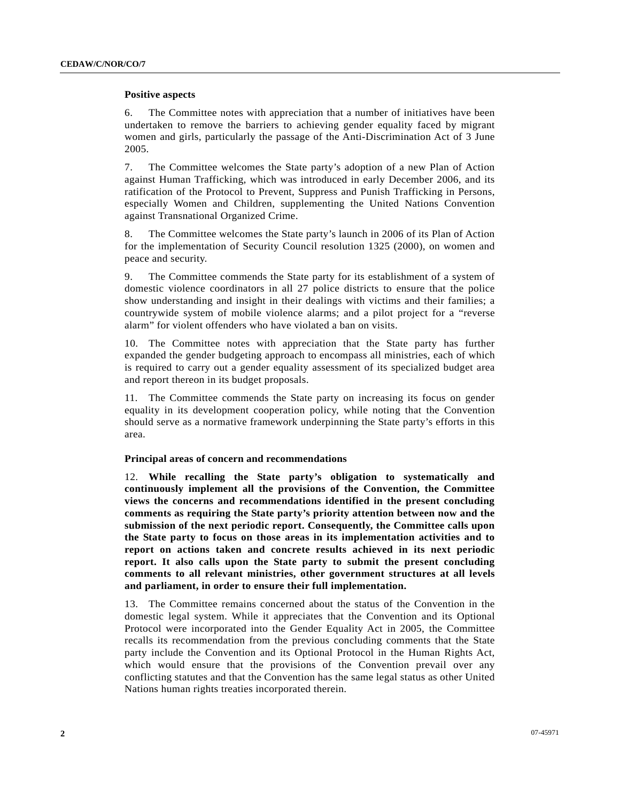#### **Positive aspects**

6. The Committee notes with appreciation that a number of initiatives have been undertaken to remove the barriers to achieving gender equality faced by migrant women and girls, particularly the passage of the Anti-Discrimination Act of 3 June 2005.

7. The Committee welcomes the State party's adoption of a new Plan of Action against Human Trafficking, which was introduced in early December 2006, and its ratification of the Protocol to Prevent, Suppress and Punish Trafficking in Persons, especially Women and Children, supplementing the United Nations Convention against Transnational Organized Crime.

8. The Committee welcomes the State party's launch in 2006 of its Plan of Action for the implementation of Security Council resolution 1325 (2000), on women and peace and security.

9. The Committee commends the State party for its establishment of a system of domestic violence coordinators in all 27 police districts to ensure that the police show understanding and insight in their dealings with victims and their families; a countrywide system of mobile violence alarms; and a pilot project for a "reverse alarm" for violent offenders who have violated a ban on visits.

10. The Committee notes with appreciation that the State party has further expanded the gender budgeting approach to encompass all ministries, each of which is required to carry out a gender equality assessment of its specialized budget area and report thereon in its budget proposals.

11. The Committee commends the State party on increasing its focus on gender equality in its development cooperation policy, while noting that the Convention should serve as a normative framework underpinning the State party's efforts in this area.

#### **Principal areas of concern and recommendations**

12. **While recalling the State party's obligation to systematically and continuously implement all the provisions of the Convention, the Committee views the concerns and recommendations identified in the present concluding comments as requiring the State party's priority attention between now and the submission of the next periodic report. Consequently, the Committee calls upon the State party to focus on those areas in its implementation activities and to report on actions taken and concrete results achieved in its next periodic report. It also calls upon the State party to submit the present concluding comments to all relevant ministries, other government structures at all levels and parliament, in order to ensure their full implementation.** 

13. The Committee remains concerned about the status of the Convention in the domestic legal system. While it appreciates that the Convention and its Optional Protocol were incorporated into the Gender Equality Act in 2005, the Committee recalls its recommendation from the previous concluding comments that the State party include the Convention and its Optional Protocol in the Human Rights Act, which would ensure that the provisions of the Convention prevail over any conflicting statutes and that the Convention has the same legal status as other United Nations human rights treaties incorporated therein.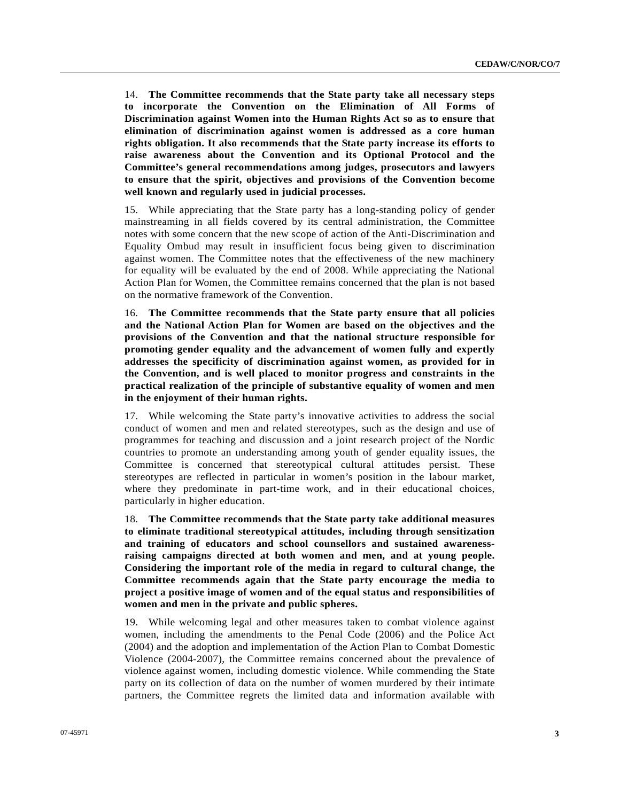14. **The Committee recommends that the State party take all necessary steps to incorporate the Convention on the Elimination of All Forms of Discrimination against Women into the Human Rights Act so as to ensure that elimination of discrimination against women is addressed as a core human rights obligation. It also recommends that the State party increase its efforts to raise awareness about the Convention and its Optional Protocol and the Committee's general recommendations among judges, prosecutors and lawyers to ensure that the spirit, objectives and provisions of the Convention become well known and regularly used in judicial processes.** 

15. While appreciating that the State party has a long-standing policy of gender mainstreaming in all fields covered by its central administration, the Committee notes with some concern that the new scope of action of the Anti-Discrimination and Equality Ombud may result in insufficient focus being given to discrimination against women. The Committee notes that the effectiveness of the new machinery for equality will be evaluated by the end of 2008. While appreciating the National Action Plan for Women, the Committee remains concerned that the plan is not based on the normative framework of the Convention.

16. **The Committee recommends that the State party ensure that all policies and the National Action Plan for Women are based on the objectives and the provisions of the Convention and that the national structure responsible for promoting gender equality and the advancement of women fully and expertly addresses the specificity of discrimination against women, as provided for in the Convention, and is well placed to monitor progress and constraints in the practical realization of the principle of substantive equality of women and men in the enjoyment of their human rights.** 

17. While welcoming the State party's innovative activities to address the social conduct of women and men and related stereotypes, such as the design and use of programmes for teaching and discussion and a joint research project of the Nordic countries to promote an understanding among youth of gender equality issues, the Committee is concerned that stereotypical cultural attitudes persist. These stereotypes are reflected in particular in women's position in the labour market, where they predominate in part-time work, and in their educational choices, particularly in higher education.

18. **The Committee recommends that the State party take additional measures to eliminate traditional stereotypical attitudes, including through sensitization and training of educators and school counsellors and sustained awarenessraising campaigns directed at both women and men, and at young people. Considering the important role of the media in regard to cultural change, the Committee recommends again that the State party encourage the media to project a positive image of women and of the equal status and responsibilities of women and men in the private and public spheres.**

19. While welcoming legal and other measures taken to combat violence against women, including the amendments to the Penal Code (2006) and the Police Act (2004) and the adoption and implementation of the Action Plan to Combat Domestic Violence (2004-2007), the Committee remains concerned about the prevalence of violence against women, including domestic violence. While commending the State party on its collection of data on the number of women murdered by their intimate partners, the Committee regrets the limited data and information available with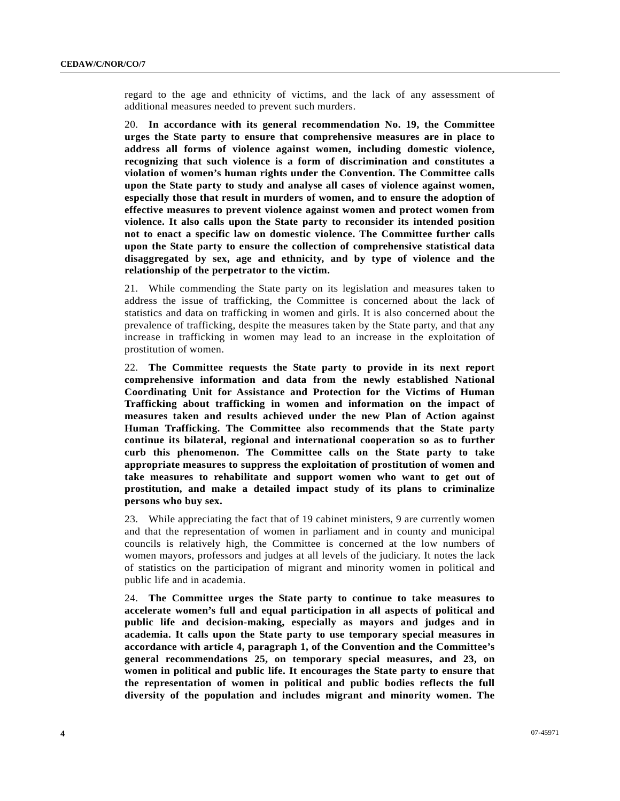regard to the age and ethnicity of victims, and the lack of any assessment of additional measures needed to prevent such murders.

20. **In accordance with its general recommendation No. 19, the Committee urges the State party to ensure that comprehensive measures are in place to address all forms of violence against women, including domestic violence, recognizing that such violence is a form of discrimination and constitutes a violation of women's human rights under the Convention. The Committee calls upon the State party to study and analyse all cases of violence against women, especially those that result in murders of women, and to ensure the adoption of effective measures to prevent violence against women and protect women from violence. It also calls upon the State party to reconsider its intended position not to enact a specific law on domestic violence. The Committee further calls upon the State party to ensure the collection of comprehensive statistical data disaggregated by sex, age and ethnicity, and by type of violence and the relationship of the perpetrator to the victim.** 

21. While commending the State party on its legislation and measures taken to address the issue of trafficking, the Committee is concerned about the lack of statistics and data on trafficking in women and girls. It is also concerned about the prevalence of trafficking, despite the measures taken by the State party, and that any increase in trafficking in women may lead to an increase in the exploitation of prostitution of women.

22. **The Committee requests the State party to provide in its next report comprehensive information and data from the newly established National Coordinating Unit for Assistance and Protection for the Victims of Human Trafficking about trafficking in women and information on the impact of measures taken and results achieved under the new Plan of Action against Human Trafficking. The Committee also recommends that the State party continue its bilateral, regional and international cooperation so as to further curb this phenomenon. The Committee calls on the State party to take appropriate measures to suppress the exploitation of prostitution of women and take measures to rehabilitate and support women who want to get out of prostitution, and make a detailed impact study of its plans to criminalize persons who buy sex.** 

23. While appreciating the fact that of 19 cabinet ministers, 9 are currently women and that the representation of women in parliament and in county and municipal councils is relatively high, the Committee is concerned at the low numbers of women mayors, professors and judges at all levels of the judiciary. It notes the lack of statistics on the participation of migrant and minority women in political and public life and in academia.

24. **The Committee urges the State party to continue to take measures to accelerate women's full and equal participation in all aspects of political and public life and decision-making, especially as mayors and judges and in academia. It calls upon the State party to use temporary special measures in accordance with article 4, paragraph 1, of the Convention and the Committee's general recommendations 25, on temporary special measures, and 23, on women in political and public life. It encourages the State party to ensure that the representation of women in political and public bodies reflects the full diversity of the population and includes migrant and minority women. The**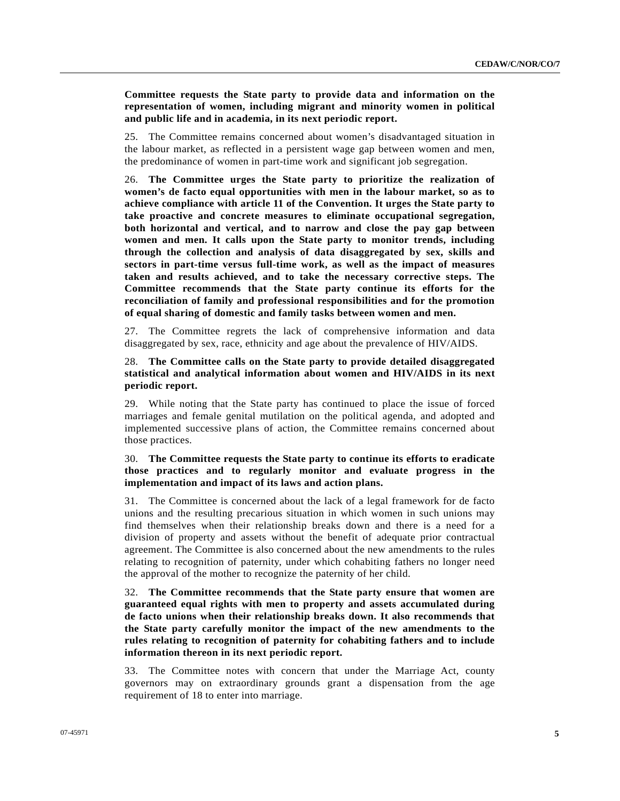**Committee requests the State party to provide data and information on the representation of women, including migrant and minority women in political and public life and in academia, in its next periodic report.** 

25. The Committee remains concerned about women's disadvantaged situation in the labour market, as reflected in a persistent wage gap between women and men, the predominance of women in part-time work and significant job segregation.

26. **The Committee urges the State party to prioritize the realization of women's de facto equal opportunities with men in the labour market, so as to achieve compliance with article 11 of the Convention. It urges the State party to take proactive and concrete measures to eliminate occupational segregation, both horizontal and vertical, and to narrow and close the pay gap between women and men. It calls upon the State party to monitor trends, including through the collection and analysis of data disaggregated by sex, skills and sectors in part-time versus full-time work, as well as the impact of measures taken and results achieved, and to take the necessary corrective steps. The Committee recommends that the State party continue its efforts for the reconciliation of family and professional responsibilities and for the promotion of equal sharing of domestic and family tasks between women and men.** 

27. The Committee regrets the lack of comprehensive information and data disaggregated by sex, race, ethnicity and age about the prevalence of HIV/AIDS.

28. **The Committee calls on the State party to provide detailed disaggregated statistical and analytical information about women and HIV/AIDS in its next periodic report.** 

29. While noting that the State party has continued to place the issue of forced marriages and female genital mutilation on the political agenda, and adopted and implemented successive plans of action, the Committee remains concerned about those practices.

#### 30. **The Committee requests the State party to continue its efforts to eradicate those practices and to regularly monitor and evaluate progress in the implementation and impact of its laws and action plans.**

31. The Committee is concerned about the lack of a legal framework for de facto unions and the resulting precarious situation in which women in such unions may find themselves when their relationship breaks down and there is a need for a division of property and assets without the benefit of adequate prior contractual agreement. The Committee is also concerned about the new amendments to the rules relating to recognition of paternity, under which cohabiting fathers no longer need the approval of the mother to recognize the paternity of her child.

32. **The Committee recommends that the State party ensure that women are guaranteed equal rights with men to property and assets accumulated during de facto unions when their relationship breaks down. It also recommends that the State party carefully monitor the impact of the new amendments to the rules relating to recognition of paternity for cohabiting fathers and to include information thereon in its next periodic report.** 

33. The Committee notes with concern that under the Marriage Act, county governors may on extraordinary grounds grant a dispensation from the age requirement of 18 to enter into marriage.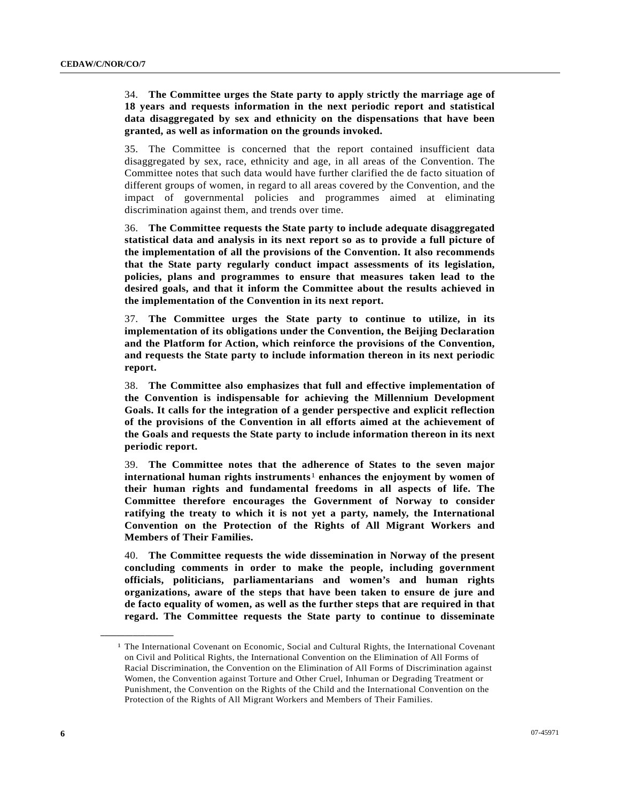### 34. **The Committee urges the State party to apply strictly the marriage age of 18 years and requests information in the next periodic report and statistical data disaggregated by sex and ethnicity on the dispensations that have been granted, as well as information on the grounds invoked.**

35. The Committee is concerned that the report contained insufficient data disaggregated by sex, race, ethnicity and age, in all areas of the Convention. The Committee notes that such data would have further clarified the de facto situation of different groups of women, in regard to all areas covered by the Convention, and the impact of governmental policies and programmes aimed at eliminating discrimination against them, and trends over time.

36. **The Committee requests the State party to include adequate disaggregated statistical data and analysis in its next report so as to provide a full picture of the implementation of all the provisions of the Convention. It also recommends that the State party regularly conduct impact assessments of its legislation, policies, plans and programmes to ensure that measures taken lead to the desired goals, and that it inform the Committee about the results achieved in the implementation of the Convention in its next report.** 

37. **The Committee urges the State party to continue to utilize, in its implementation of its obligations under the Convention, the Beijing Declaration and the Platform for Action, which reinforce the provisions of the Convention, and requests the State party to include information thereon in its next periodic report.** 

38. **The Committee also emphasizes that full and effective implementation of the Convention is indispensable for achieving the Millennium Development Goals. It calls for the integration of a gender perspective and explicit reflection of the provisions of the Convention in all efforts aimed at the achievement of the Goals and requests the State party to include information thereon in its next periodic report.** 

39. **The Committee notes that the adherence of States to the seven major international human rights instruments**[1](#page-5-0) **enhances the enjoyment by women of their human rights and fundamental freedoms in all aspects of life. The Committee therefore encourages the Government of Norway to consider ratifying the treaty to which it is not yet a party, namely, the International Convention on the Protection of the Rights of All Migrant Workers and Members of Their Families.** 

40. **The Committee requests the wide dissemination in Norway of the present concluding comments in order to make the people, including government officials, politicians, parliamentarians and women's and human rights organizations, aware of the steps that have been taken to ensure de jure and de facto equality of women, as well as the further steps that are required in that regard. The Committee requests the State party to continue to disseminate** 

<span id="page-5-0"></span>**\_\_\_\_\_\_\_\_\_\_\_\_\_\_\_\_\_\_** 

<sup>1</sup> The International Covenant on Economic, Social and Cultural Rights, the International Covenant on Civil and Political Rights, the International Convention on the Elimination of All Forms of Racial Discrimination, the Convention on the Elimination of All Forms of Discrimination against Women, the Convention against Torture and Other Cruel, Inhuman or Degrading Treatment or Punishment, the Convention on the Rights of the Child and the International Convention on the Protection of the Rights of All Migrant Workers and Members of Their Families.